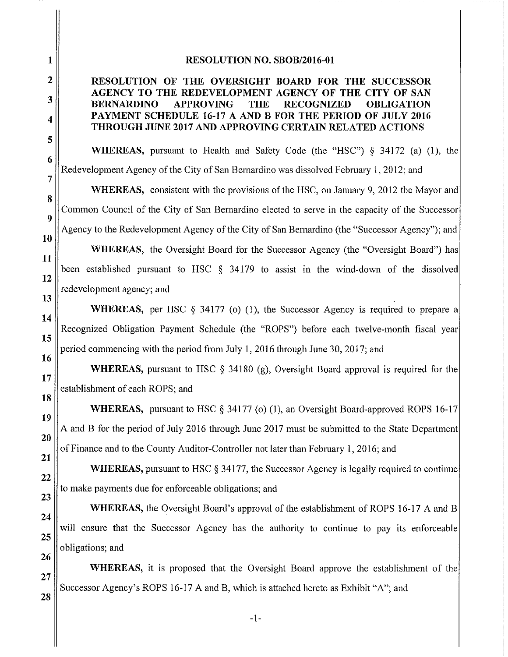## RESOLUTION NO. SBOB/2016-01

## RESOLUTION OF THE OVERSIGHT BOARD FOR THE SUCCESSOR AGENCY TO THE REDEVELOPMENT AGENCY OF THE CITY OF SAN **BERNARDINO APPROVING THE RECOGNIZED OBLIGATION** PAYMENT SCHEDULE 16-17 A AND B FOR THE PERIOD OF JULY 2016 **THROUGH JUNE 2017 AND APPROVING CERTAIN RELATED ACTIONS**

**WHEREAS**, pursuant to Health and Safety Code (the "HSC") § 34172 (a) (1), the Redevelopment Agency of the City of San Bernardino was dissolved February 1, 2012; and

**WHEREAS,** consistent with the provisions of the HSC, on January 9, 2012 the Mayor and Common Council of the City of San Bernardino elected to serve in the capacity of the Successor Agency to the Redevelopment Agency of the City of San Bernardino (the "Successor Agency"); and

**WHEREAS,** the Oversight Board for the Successor Agency (the "Oversight Board") has been established pursuant to HSC § 34179 to assist in the wind-down of the dissolved redevelopment agency; and

**WHEREAS**, per HSC  $\S$  34177 (o) (1), the Successor Agency is required to prepare a Recognized Obligation Payment Schedule (the "ROPS") before each twelve-month fiscal year period commencing with the period from July 1, 2016 through June 30, 2017; and

**WHEREAS**, pursuant to HSC  $\S$  34180 (g), Oversight Board approval is required for the establishment of each ROPS; and

**WHEREAS,** pursuant to HSC  $\S$  34177 (o) (1), an Oversight Board-approved ROPS 16-17 A and B for the period of July 2016 through June 2017 must be submitted to the State Department of Finance and to the County Auditor-Controller not later than February 1, 2016; and

**WHEREAS, pursuant to HSC § 34177, the Successor Agency is legally required to continue** to make payments due for enforceable obligations; and

**WHEREAS**, the Oversight Board's approval of the establishment of ROPS 16-17 A and B will ensure that the Successor Agency has the authority to continue to pay its enforceable obligations; and

**WHEREAS**, it is proposed that the Oversight Board approve the establishment of the Successor Agency's ROPS 16-17 A and B, which is attached hereto as Exhibit "A"; and

28

 $\mathbf{1}$ 

 $\overline{2}$ 

3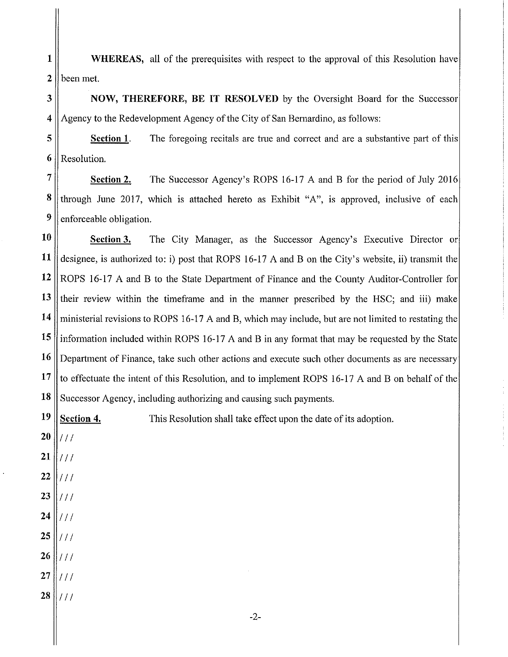$\mathbf{1}$ WHEREAS, all of the prerequisites with respect to the approval of this Resolution have  $\overline{2}$ been met.

3 **NOW, THEREFORE, BE IT RESOLVED** by the Oversight Board for the Successor  $\overline{\bf{4}}$ Agency to the Redevelopment Agency of the City of San Bernardino, as follows:

5 Section 1. The foregoing recitals are true and correct and are a substantive part of this 6 Resolution.

 $\overline{7}$ The Successor Agency's ROPS 16-17 A and B for the period of July 2016 Section 2. 8 through June 2017, which is attached hereto as Exhibit "A", is approved, inclusive of each 9 enforceable obligation.

10 The City Manager, as the Successor Agency's Executive Director or Section 3. 11 designee, is authorized to: i) post that ROPS 16-17 A and B on the City's website, ii) transmit the 12 ROPS 16-17 A and B to the State Department of Finance and the County Auditor-Controller for 13 their review within the timeframe and in the manner prescribed by the HSC; and iii) make 14 ministerial revisions to ROPS 16-17 A and B, which may include, but are not limited to restating the 15 information included within ROPS 16-17 A and B in any format that may be requested by the State 16 Department of Finance, take such other actions and execute such other documents as are necessary 17 to effectuate the intent of this Resolution, and to implement ROPS 16-17 A and B on behalf of the 18 Successor Agency, including authorizing and causing such payments.

19 Section 4. This Resolution shall take effect upon the date of its adoption.

- 20  $111$
- 21  $111$
- 22  $111$
- 23  $111$
- 24  $1/1$
- 25  $\vert \textit{III} \vert$
- $26$  || / / /
- 27  $111$
- 28  $||//$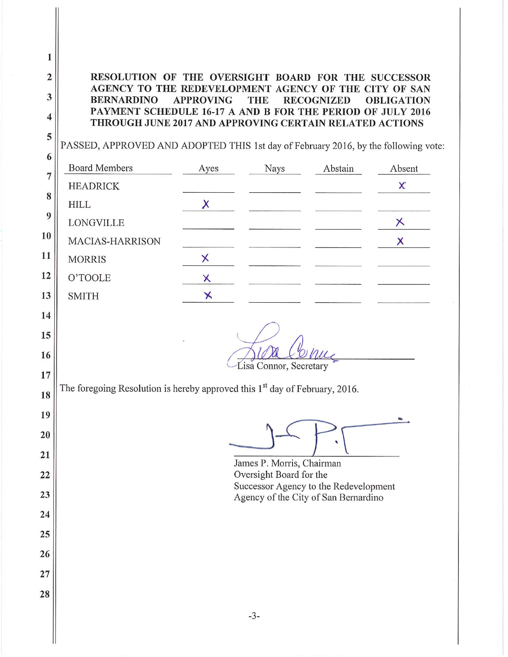$\mathbf{1}$  $\overline{2}$ RESOLUTION OF THE OVERSIGHT BOARD FOR THE SUCCESSOR AGENCY TO THE REDEVELOPMENT AGENCY OF THE CITY OF SAN  $\overline{\mathbf{3}}$ **BERNARDINO APPROVING THE RECOGNIZED OBLIGATION** PAYMENT SCHEDULE 16-17 A AND B FOR THE PERIOD OF JULY 2016  $\overline{\mathbf{4}}$ THROUGH JUNE 2017 AND APPROVING CERTAIN RELATED ACTIONS 5 PASSED, APPROVED AND ADOPTED THIS 1st day of February 2016, by the following vote: 6 **Board Members** Ayes Nays Abstain Absent  $\overline{7}$ X **HEADRICK** 8 X **HILL** 9  $\times$ LONGVILLE 10 MACIAS-HARRISON  $\times$ 11  $\times$ **MORRIS** 12 O'TOOLE X  $\overline{\mathsf{x}}$ 13 **SMITH** 14 15 16 Lisa Connor, Secretary 17 The foregoing Resolution is hereby approved this 1<sup>st</sup> day of February, 2016. 18 19 20 21 James P. Morris, Chairman  $22$ Oversight Board for the Successor Agency to the Redevelopment 23 Agency of the City of San Bernardino 24 25 26  $27$ 28  $-3-$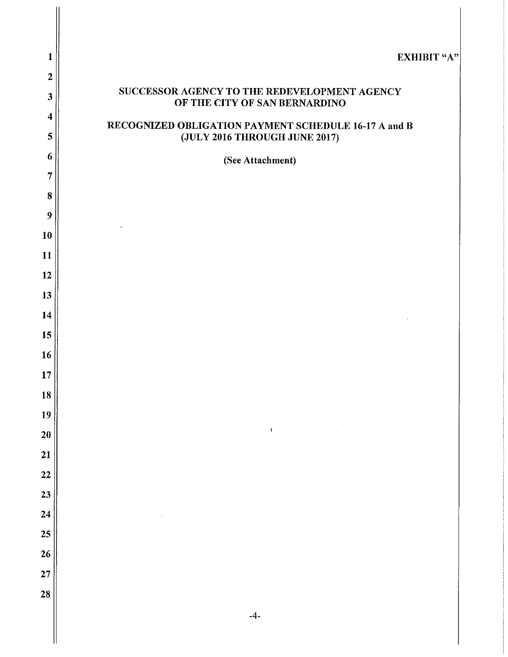| 1                       | <b>EXHIBIT "A"</b>                                                                                                                                                                                                                                                  |
|-------------------------|---------------------------------------------------------------------------------------------------------------------------------------------------------------------------------------------------------------------------------------------------------------------|
| $\overline{2}$          |                                                                                                                                                                                                                                                                     |
| 3                       | SUCCESSOR AGENCY TO THE REDEVELOPMENT AGENCY<br>OF THE CITY OF SAN BERNARDINO                                                                                                                                                                                       |
| $\overline{\mathbf{4}}$ | RECOGNIZED OBLIGATION PAYMENT SCHEDULE 16-17 A and B                                                                                                                                                                                                                |
| 5                       | (JULY 2016 THROUGH JUNE 2017)                                                                                                                                                                                                                                       |
| 6                       | (See Attachment)                                                                                                                                                                                                                                                    |
| $\overline{7}$          |                                                                                                                                                                                                                                                                     |
| 8                       |                                                                                                                                                                                                                                                                     |
| 9                       |                                                                                                                                                                                                                                                                     |
| 10                      | $\label{eq:2.1} \frac{1}{\sqrt{2}}\int_{\mathbb{R}^3}\frac{1}{\sqrt{2}}\left(\frac{1}{\sqrt{2}}\right)^2\frac{1}{\sqrt{2}}\left(\frac{1}{\sqrt{2}}\right)^2\frac{1}{\sqrt{2}}\left(\frac{1}{\sqrt{2}}\right)^2\frac{1}{\sqrt{2}}\left(\frac{1}{\sqrt{2}}\right)^2.$ |
| 11                      |                                                                                                                                                                                                                                                                     |
| 12                      |                                                                                                                                                                                                                                                                     |
| 13                      |                                                                                                                                                                                                                                                                     |
| 14                      |                                                                                                                                                                                                                                                                     |
| 15                      |                                                                                                                                                                                                                                                                     |
| 16                      |                                                                                                                                                                                                                                                                     |
| $\bf 17$                |                                                                                                                                                                                                                                                                     |
| 18                      |                                                                                                                                                                                                                                                                     |
| 19                      |                                                                                                                                                                                                                                                                     |
| 20                      | $\ddot{\bullet}$                                                                                                                                                                                                                                                    |
| 21                      |                                                                                                                                                                                                                                                                     |
| 22                      |                                                                                                                                                                                                                                                                     |
| 23                      |                                                                                                                                                                                                                                                                     |
| 24                      |                                                                                                                                                                                                                                                                     |
| 25                      |                                                                                                                                                                                                                                                                     |
| 26                      |                                                                                                                                                                                                                                                                     |
| 27                      |                                                                                                                                                                                                                                                                     |
| 28                      |                                                                                                                                                                                                                                                                     |
|                         |                                                                                                                                                                                                                                                                     |
|                         | $-4-$                                                                                                                                                                                                                                                               |

 $\mathbb{I}$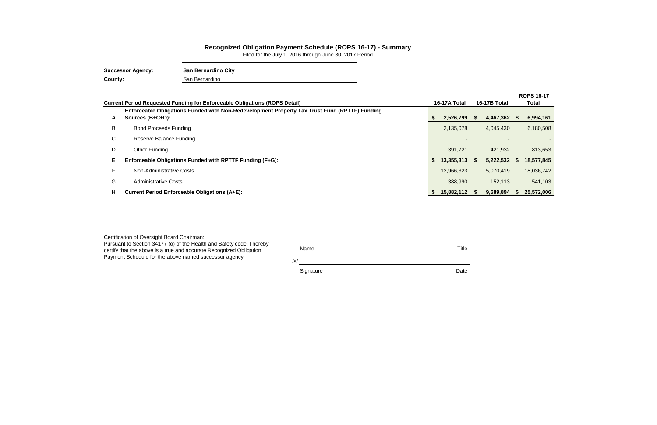| Certification of Oversight Board Chairman:                                                                                                                                                             |             |       |
|--------------------------------------------------------------------------------------------------------------------------------------------------------------------------------------------------------|-------------|-------|
| Pursuant to Section 34177 (o) of the Health and Safety code, I hereby<br>certify that the above is a true and accurate Recognized Obligation<br>Payment Schedule for the above named successor agency. | Name<br>/s/ | Title |
|                                                                                                                                                                                                        | Signature   | Date  |

|    |                                                                                                                   |              |                     |      | <b>ROPS 16-17</b> |
|----|-------------------------------------------------------------------------------------------------------------------|--------------|---------------------|------|-------------------|
|    | <b>Current Period Requested Funding for Enforceable Obligations (ROPS Detail)</b>                                 | 16-17A Total | <b>16-17B Total</b> |      | Total             |
| A  | Enforceable Obligations Funded with Non-Redevelopment Property Tax Trust Fund (RPTTF) Funding<br>Sources (B+C+D): | 2,526,799    | 4,467,362 \$        |      | 6,994,161         |
| B  | <b>Bond Proceeds Funding</b>                                                                                      | 2,135,078    | 4,045,430           |      | 6,180,508         |
| C. | Reserve Balance Funding                                                                                           |              |                     |      |                   |
| D  | <b>Other Funding</b>                                                                                              | 391,721      | 421,932             |      | 813,653           |
| Е  | Enforceable Obligations Funded with RPTTF Funding (F+G):                                                          | 13,355,313   | 5,222,532           | - 55 | 18,577,845        |
|    | Non-Administrative Costs                                                                                          | 12,966,323   | 5,070,419           |      | 18,036,742        |
| G  | <b>Administrative Costs</b>                                                                                       | 388,990      | 152,113             |      | 541,103           |
| Н. | <b>Current Period Enforceable Obligations (A+E):</b>                                                              | 15,882,112   | 9,689,894           |      | 25,572,006        |

## **Recognized Obligation Payment Schedule (ROPS 16-17) - Summary**

Filed for the July 1, 2016 through June 30, 2017 Period

| <b>Successor Agency:</b> | <b>San Bernardino City</b> |
|--------------------------|----------------------------|
| County:                  | San Bernardino             |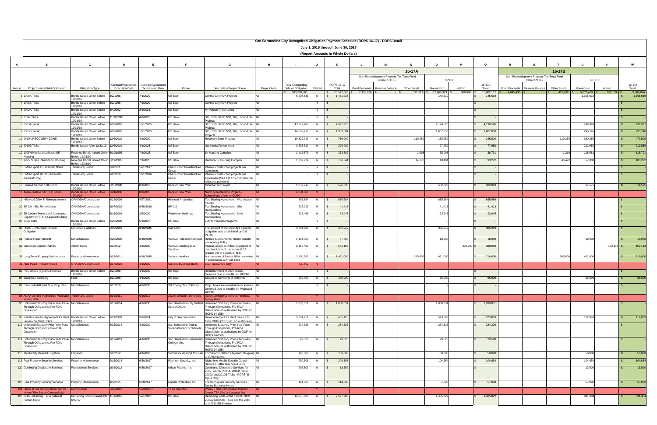|                |                                                                                      |                                                        |                                             |                                               |                                  |                                                                                                 |              |                                                |                          |                            | San Bernardino City Recognized Obligation Payment Schedule (ROPS 16-17) - ROPS Detail |             |                       |            |                       |                      |                                           |             |                       |               |                 |                        |
|----------------|--------------------------------------------------------------------------------------|--------------------------------------------------------|---------------------------------------------|-----------------------------------------------|----------------------------------|-------------------------------------------------------------------------------------------------|--------------|------------------------------------------------|--------------------------|----------------------------|---------------------------------------------------------------------------------------|-------------|-----------------------|------------|-----------------------|----------------------|-------------------------------------------|-------------|-----------------------|---------------|-----------------|------------------------|
|                | July 1, 2016 through June 30, 2017                                                   |                                                        |                                             |                                               |                                  |                                                                                                 |              |                                                |                          |                            |                                                                                       |             |                       |            |                       |                      |                                           |             |                       |               |                 |                        |
|                | (Report Amounts in Whole Dollars)                                                    |                                                        |                                             |                                               |                                  |                                                                                                 |              |                                                |                          |                            |                                                                                       |             |                       |            |                       |                      |                                           |             |                       |               |                 |                        |
|                |                                                                                      |                                                        |                                             |                                               |                                  |                                                                                                 |              |                                                |                          |                            |                                                                                       |             |                       |            |                       |                      |                                           |             |                       |               |                 |                        |
| $\overline{A}$ |                                                                                      | C                                                      | D                                           |                                               |                                  | G                                                                                               | н            |                                                |                          | K                          |                                                                                       |             |                       |            | O                     |                      |                                           |             | $\mathbf{u}$          |               | W               |                        |
|                |                                                                                      |                                                        |                                             |                                               |                                  |                                                                                                 |              |                                                |                          |                            | Non-Redevelopment Property Tax Trust Fund                                             | 16-17A      |                       |            |                       |                      | Non-Redevelopment Property Tax Trust Fund | 16-17B      |                       |               |                 |                        |
|                |                                                                                      |                                                        |                                             |                                               |                                  |                                                                                                 |              |                                                |                          |                            | (Non-RPTTF)                                                                           |             | RPTTF                 |            |                       |                      | (Non-RPTTF)                               |             | <b>RPTTF</b>          |               |                 |                        |
| Item $#$       | Project Name/Debt Obligation                                                         | <b>Obligation Type</b>                                 | Contract/Agreement<br><b>Execution Date</b> | Contract/Agreement<br><b>Termination Date</b> | Payee                            | <b>Description/Project Scope</b>                                                                | Project Area | <b>Total Outstanding</b><br>Debt or Obligation | Retired                  | ROPS 16-17<br>Total        | <b>Bond Proceeds</b><br>Reserve Balance                                               | Other Funds | Non-Admin             | Admin      | 16-17A<br>Total       | <b>Bond Proceeds</b> | Reserve Balance                           | Other Funds | Non-Admin             | Admin         | 16-17B<br>Total |                        |
|                | 1998A TABs                                                                           | Bonds Issued On or Before                              | /2/1998                                     | 1/2020                                        | US Bank                          | Central City RDA Projects                                                                       |              | 183,718,580<br>6.208.631                       | N<br>$\mathbf{s}$        | 25,572,006 \$<br>1,451,238 | 2,135,078                                                                             | 391,721     | 12,966,323<br>145,619 | 388,990    | 15,882,112<br>145,619 | 4,045,430            |                                           | 421.932     | 5,070,419<br>1,305,61 | 152, 113      |                 | 9,689,894<br>1,305,619 |
|                |                                                                                      | 12/31/10                                               |                                             |                                               |                                  | Central City RDA Projects                                                                       |              |                                                |                          |                            |                                                                                       |             |                       |            |                       |                      |                                           |             |                       |               |                 |                        |
|                | 1998B TABs                                                                           | Bonds Issued On or Before<br>12/31/10                  | 3/2/1998                                    | 7/1/2020                                      | US Bank                          |                                                                                                 |              |                                                | Y<br>$\sqrt{s}$          |                            |                                                                                       |             |                       |            |                       |                      |                                           |             |                       |               |                 |                        |
|                | 6 2002A TABs                                                                         | Bonds Issued On or Before<br>12/31/10                  | 3/4/2002                                    | 2/1/2031                                      | US Bank                          | Mt Vernon Proiect Area                                                                          |              |                                                | Y                        |                            |                                                                                       |             |                       |            |                       |                      |                                           |             |                       |               |                 |                        |
|                | 2002 TABs                                                                            | Bonds Issued On or Before<br>12/31/10                  | 11/19/2001                                  | 4/1/2026                                      | US Bank                          | SC, CCN, SEIP, NW, TRI, UP and SV   All<br>Projects                                             |              |                                                | Y<br>IS                  |                            |                                                                                       |             |                       |            |                       |                      |                                           |             |                       |               |                 |                        |
|                | 8 2005A TABs                                                                         | Bonds Issued On or Before<br>12/31/10                  | 3/22/2005                                   | 10/1/2025                                     | US Bank                          | SC, CCN, SEIP, NW, TRI, UP and SV   All<br>Projects                                             |              | 43,272,206                                     | N.<br>- \$               | 4,997,923                  |                                                                                       |             | 4,198,526             |            | 4,198,526             |                      |                                           |             | 799,397               |               |                 | 799,397                |
|                | 92005B TABs                                                                          | Bonds Issued On or Before<br>12/31/10                  | 9/22/2005                                   | 10/1/2025                                     | US Bank                          | SC, CCN, SEIP, NW, TRI, UP and SV   All<br>Proiects                                             |              | 16,059,216                                     | N<br>IS.                 | 1,903,604                  |                                                                                       |             | 1,607,858             |            | 1,607,858             |                      |                                           |             | 295,746               |               |                 | 295,746                |
|                | 10 2010A RECOVERY ZONE                                                               | Bonds Issued On or Before<br>12/31/10                  | 12/6/2010                                   | 4/1/2030                                      | US Bank                          | Recovery Zone Projects                                                                          |              | 10,329,949                                     | N                        | 716,000                    |                                                                                       | 110,250     | 135,250               |            | 245,500               |                      |                                           | 110,250     | 360,250               |               |                 | 470,500                |
|                | 11 2010B TABs                                                                        | Bonds Issued After 12/31/10                            | 12/6/2010                                   | 4/1/2028                                      | US Bank                          | Northwest Project Area                                                                          |              | 3,806,310                                      | N                        | 290,900                    |                                                                                       |             | 77,950                |            | 77,950                |                      |                                           |             | 212,950               |               |                 | 212,950                |
|                | 12 1995H Highland Lutheran SR                                                        | Revenue Bonds Issued On or 6/19/1995                   |                                             | 7/1/2025                                      | <b>US Bank</b>                   | Sr Housing Complex                                                                              |              | 1,415,879                                      | N<br>$\mathbf{s}$        | 153,582                    |                                                                                       | 1,693       | 35,098                |            | 36,791                |                      |                                           | 1,210       | 115,581               |               |                 | 116,791                |
|                | Housina<br>13 1995R Casa Ramona Sr Housing                                           | efore 12/31/10<br>Revenue Bonds Issued On or 6/19/1995 |                                             | //1/2025                                      | US Bank                          | Ramona Sr Housing Complex                                                                       |              | 1,309,924                                      | N,<br>- \$               | 136,544                    |                                                                                       | 14,778      | 18,494                |            | 33,272                |                      |                                           | 45,472      | 57,800                |               |                 | 103,272                |
|                | 15 CMB-Export \$10,000,000 Notes                                                     | Before 12/31/10<br>hird-Party Loans                    | 3/8/2011                                    | 12/1/2017                                     | <b>CMB Export Infrastructure</b> | Various construction projects per                                                               |              |                                                | Y                        |                            |                                                                                       |             |                       |            |                       |                      |                                           |             |                       |               |                 |                        |
|                | 16 CMB-Export \$8,000,000 Notes                                                      | Third-Party Loans                                      | 9/1/2010                                    | 10/1/2016                                     | <b>CMB Export Infrastructure</b> | Various construction projects per                                                               |              |                                                | Y                        |                            |                                                                                       |             |                       |            |                       |                      |                                           |             |                       |               |                 |                        |
|                | (Interest Only)                                                                      |                                                        |                                             |                                               | Group                            | agreement (See EO # 127 for principal<br>reduction payment)                                     |              |                                                |                          |                            |                                                                                       |             |                       |            |                       |                      |                                           |             |                       |               |                 |                        |
|                | 17 Cinema Section 108 Bonds                                                          | Bonds Issued On or Before                              | 6/15/1998                                   | 8/1/2018                                      | Bank of New York                 | Cinema Star Project                                                                             |              | 1,037,717                                      | N<br>$\sqrt{S}$          | 596,598                    |                                                                                       |             | 582,023               |            | 582,023               |                      |                                           |             | 14,575                |               |                 | 14,575                 |
|                | 8 Arden-Guthrie Sec. 108 Bonds                                                       | 12/31/10<br><b>Bonds Issued On or Before</b>           | /24/2006                                    | 8/1/2025                                      | <b>Bank of New York</b>          | North Arden/Guthrie Project --                                                                  |              | 6,084,000                                      | N                        |                            |                                                                                       |             |                       |            |                       |                      |                                           |             |                       |               |                 |                        |
|                | 19 Hill wood-DDA TI Reimbursement                                                    | 2/31/10<br>OPA/DDA/Construction                        | 9/18/2006                                   | 4/27/2021                                     | Hillwood Properties              | <b>Subordinate Credit to CDBG</b><br>Tax Sharing Agreement - Warehouse All                      |              | 685,684                                        | N<br>$\mathbf{s}$        | 685,684                    |                                                                                       |             | 685,684               |            | 685,684               |                      |                                           |             |                       |               |                 |                        |
|                | 20 BP CA - Site Remediation                                                          | OPA/DDA/Construction                                   | 10/7/2002                                   | 9/30/2018                                     | <b>BP Cal</b>                    | Facility<br>Tax Sharing Agreement - Site                                                        |              | 226,219                                        | N                        | 41,413                     |                                                                                       |             | 41,413                |            | 41,413                |                      |                                           |             |                       |               |                 |                        |
|                | 24 SB County Transitional Assistance                                                 | OPA/DDA/Construction                                   | 8/16/2004                                   | 2/2/2020                                      | <b>Waterman Holdings</b>         | Remediation<br>Tax Sharing Agreement - New                                                      |              | 238,466                                        | N<br><b>S</b>            | 23,045                     |                                                                                       |             | 23,045                |            | 23,045                |                      |                                           |             |                       |               |                 |                        |
|                | Department (TAD) Leased Building<br>28 2006 TABs                                     | Bonds Issued On or Before                              | 3/20/2006                                   | 5/1/2027                                      | US Bank                          | Construction<br>LMIHF Projects/Programs                                                         |              |                                                | Y                        |                            |                                                                                       |             |                       |            |                       |                      |                                           |             |                       |               |                 |                        |
|                |                                                                                      | 12/31/10                                               |                                             |                                               |                                  |                                                                                                 |              |                                                |                          |                            |                                                                                       |             |                       |            |                       |                      |                                           |             |                       |               |                 |                        |
|                | 30 PERS - Unfunded Pension<br>Obligation                                             | <b>Jnfunded Liabilities</b>                            | 3/30/2010                                   | 8/10/2045                                     | CalPERS                          | The amount of the unfunded pension<br>obligation was established by Cal                         |              | 3,894,909                                      | <b>N</b><br>$\mathsf{S}$ | 305,219                    |                                                                                       |             | 305,219               |            | 305,219               |                      |                                           |             |                       |               |                 |                        |
|                | 31 Retiree Health Benefit                                                            | Miscellaneous                                          | 3/23/2005                                   | 8/10/2045                                     | Various Retired Employees        | PERS<br>Retiree Supplemental Health Benefit                                                     |              | 1,134,000                                      | N                        | 37,800                     |                                                                                       |             | 18,900                |            | 18,900                |                      |                                           |             | 18,900                |               |                 | 18,900                 |
|                | 32 Successor Agency Admin.                                                           | Admin Costs                                            | 2/1/2012                                    | 4/1/2030                                      | Various Employees &              | per Agency Policy<br>Various admin activities in support of                                     |              | 6,113,408                                      | N<br>$\sqrt{S}$          | 541,103                    |                                                                                       |             |                       | 388,990 \$ | 388,990               |                      |                                           |             |                       | $152, 113$ \$ |                 | 152,113                |
|                |                                                                                      |                                                        |                                             |                                               | Vendors                          | the dissolution of the former RDA<br>(equals 3% of excel Cell N-6)                              |              |                                                |                          |                            |                                                                                       |             |                       |            |                       |                      |                                           |             |                       |               |                 |                        |
|                | 38 Long Term Property Maintenance                                                    | roperty Maintenance                                    | 3/28/2011                                   | 8/10/2045                                     | Various Vendors                  | Maintenance of former RDA properties All<br>in accordance with AB 1484                          |              | 2,900,000                                      | <b>N</b><br>- \$         | 1,432,000                  |                                                                                       | 265,000     | 451,000               |            | 716,000               |                      |                                           | 265,000     | 451,000               |               |                 | 716,000                |
|                | 41 Auto Plaza - Reader Board                                                         | <b>OPA/DDA/Construction</b>                            | 5/17/2010                                   | 4/1/2030                                      | <b>Citizens Business Bank</b>    | <b>Loan Guarantee Only</b>                                                                      |              | 720,502                                        | N.                       |                            |                                                                                       |             |                       |            |                       |                      |                                           |             |                       |               |                 |                        |
|                | 82 HSC 34171 (d)(1)(A) Reserve                                                       | Bonds Issued On or Before                              | 3/2/1998                                    | 4/1/2030                                      | US Bank                          | Replenishment of DSR Draws --                                                                   |              |                                                | Y                        |                            |                                                                                       |             |                       |            |                       |                      |                                           |             |                       |               |                 |                        |
|                | <b>04 Securities Servicing</b>                                                       | 12/31/10<br>ະບຣ                                        | /2/1998                                     | 4/1/2030                                      | US Bank                          | Deferred Due to Insufficient RPTTF<br>Securities Servicing or all bonds                         |              | 662,000                                        | N \$                     | 130,000                    |                                                                                       |             |                       |            | 65,00                 |                      |                                           |             |                       |               |                 |                        |
|                | 87 Carousel Mall Past Due Prop. Tax Miscellaneous                                    |                                                        | 7/1/2010                                    | 4/1/2030                                      | SB County Tax Collector          | Prop. Taxes Assumed at Foreclosure - All                                                        |              |                                                | $\sqrt{s}$<br>Y          |                            |                                                                                       |             |                       |            |                       |                      |                                           |             |                       |               |                 |                        |
|                |                                                                                      |                                                        |                                             |                                               |                                  | Deferred Due to Insufficient Projected<br>RPTTF                                                 |              |                                                |                          |                            |                                                                                       |             |                       |            |                       |                      |                                           |             |                       |               |                 |                        |
|                | 88 ACAA Limited Partnership Purchase Third-Party Loans<br><b>Aoney Note</b>          |                                                        | 5/19/2011                                   | 6/1/2012                                      | <b>ACAA Limited Partnership</b>  | <b>ACAA Limited Partnership Purchase</b> All<br>oney Note                                       |              |                                                |                          |                            |                                                                                       |             |                       |            |                       |                      |                                           |             |                       |               |                 |                        |
|                | 95 Unfunded Statutory Prior-Year Pass- Miscellaneous<br>Through Obligations, Pre-RDA |                                                        | 2/12/2014                                   | 4/1/2030                                      | <b>School District</b>           | San Bernardino City Unified Unfunded Statutory Prior-Year Pass-<br>Through Obligations, Pre-RDA |              | 1,030,851                                      |                          | N \$ 1,030,851             |                                                                                       |             | 1,030,851             |            | 1,030,851             |                      |                                           |             |                       |               |                 |                        |
|                | Dissolution                                                                          |                                                        |                                             |                                               |                                  | Dissolution (as authorized by DOF for<br>ROPS 14-15B)                                           |              |                                                |                          |                            |                                                                                       |             |                       |            |                       |                      |                                           |             |                       |               |                 |                        |
|                | 96 Reimbursement Agreement for Debt Bonds Issued On or Before                        |                                                        | 9/29/1999                                   | 9/1/2024                                      | City of San Bernardino           | Reimbursement for Debt Service for                                                              |              | 5,881,251                                      | $\sqrt{s}$<br>N          | 635,126                    |                                                                                       |             | 523,063               |            | 523,063               |                      |                                           |             | 112,063               |               |                 | 112,063                |
|                | Service on 1999 COPs<br>113 Unfunded Statutory Prior-Year Pass- Miscellaneous        | 12/31/10                                               | 2/12/2014                                   | 4/1/2030                                      | San Bernardino County            | 1999 COPs (201 Bldg. & South Valle)<br>Unfunded Statutory Prior-Year Pass-                      |              | 234,326 N \$                                   |                          | 234,326                    |                                                                                       |             | 234,326               |            | 234,326               |                      |                                           |             |                       |               |                 |                        |
|                | Through Obligations, Pre-RDA<br>Dissolution                                          |                                                        |                                             |                                               | Superintendent of Schools        | Through Obligations, Pre-RDA<br>Dissolution (as authorized by DOF for                           |              |                                                |                          |                            |                                                                                       |             |                       |            |                       |                      |                                           |             |                       |               |                 |                        |
|                | 114 Unfunded Statutory Prior-Year Pass- Miscellaneous                                |                                                        | 9/12/2013                                   | 4/1/2030                                      |                                  | ROPS 14-15B)<br>San Bernardino Community Unfunded Statutory Prior-Year Pass-                    |              | 29,528                                         | N<br>$\mathbb{S}$        | 29,528                     |                                                                                       |             | 29,528                |            | 29,528                |                      |                                           |             |                       |               |                 |                        |
|                | Through Obligations, Pre-RDA<br>Dissolution                                          |                                                        |                                             |                                               | College Dist.                    | Through Obligations, Pre-RDA<br>Dissolution (as authorized by DOF for                           |              |                                                |                          |                            |                                                                                       |             |                       |            |                       |                      |                                           |             |                       |               |                 |                        |
|                | 115 Third-Party Related Litigation                                                   |                                                        | 2/1/2012                                    | 4/1/2030                                      |                                  | ROPS 14-15B)<br>Successor Agencyl Counsel Third-Party Related Litigation; On-going All          |              | 100,000                                        | N<br>$\mathsf{s}$        | 100,000                    |                                                                                       |             | 50,000                |            | 50,000                |                      |                                           |             | 50,000                |               |                 | 50,000                 |
|                |                                                                                      | Litigation                                             |                                             |                                               |                                  | and Anticipated.                                                                                |              |                                                |                          |                            |                                                                                       |             |                       |            |                       |                      |                                           |             |                       |               |                 |                        |
|                | 116 Real Property Security Services                                                  | Property Maintenance                                   | 9/15/2014                                   | 6/30/2017                                     | Platinum Security, Inc.          | Night-time Mobile Security Guard<br>Services - After Business Hours                             |              | 209,308                                        | N<br>$\sqrt{S}$          | 209,308                    |                                                                                       |             | 104,654               |            | 104,654               |                      |                                           |             | 104,654               |               |                 | 104,654                |
|                | 120 Continuing Disclosure Services                                                   | Professional Services                                  | 10/1/2012                                   | 9/30/2017                                     | Urban Futures, Inc.              | Continuing Disclosure Services for<br>2002, 2002A, 2005A, 2005B, 2006,                          |              | 202,500                                        | N<br>$\sqrt{S}$          | 13,500                     |                                                                                       |             |                       |            |                       |                      |                                           |             | 13,500                |               |                 | 13,500                 |
|                |                                                                                      |                                                        |                                             |                                               |                                  | 2010A and 2010B TABs - ROPS "B"<br>Cycle Only                                                   |              |                                                |                          |                            |                                                                                       |             |                       |            |                       |                      |                                           |             |                       |               |                 |                        |
|                | 123 Real Property Security Services                                                  | roperty Maintenance                                    | 1/5/2015                                    | 6/30/2017                                     | Capital Protection, Inc.         | Theater Square Security Services -<br>During Business Hours                                     |              | 114,000                                        | N<br>$\sqrt{S}$          | 114,000                    |                                                                                       |             | 57,000                |            | 57,000                |                      |                                           |             | 57,000                |               |                 | 57,000                 |
|                | 124 Phase II Soil Remediation Plan for Remediation<br>rmer TBA Site at Carousel Mall |                                                        | 7/20/2015                                   | 12/31/2015                                    | To be Selected                   | Phase II Soil Remediation Plan for<br>rmer TBA Site at Carousel Mall                            |              |                                                | Y.                       |                            |                                                                                       |             |                       |            |                       |                      |                                           |             |                       |               |                 |                        |
|                | 125 2016 Refunding TABs (Interest<br>Portion Only)                                   | Refunding Bonds Issued After 11/1/2015<br>6/27/12      |                                             | 12/1/2031                                     | US Bank                          | Refunding TABs of the 1998B, 2002,<br>2002A and 2006 TABs and the 2010                          |              | 14,875,808                                     | N                        | \$ 2,297,206               |                                                                                       |             | 1,405,822             |            | 1,405,822             |                      |                                           |             | 891,384               |               |                 | 891,384                |
|                |                                                                                      |                                                        |                                             |                                               |                                  | and 2011 EB-5 Notes                                                                             |              |                                                |                          |                            |                                                                                       |             |                       |            |                       |                      |                                           |             |                       |               |                 |                        |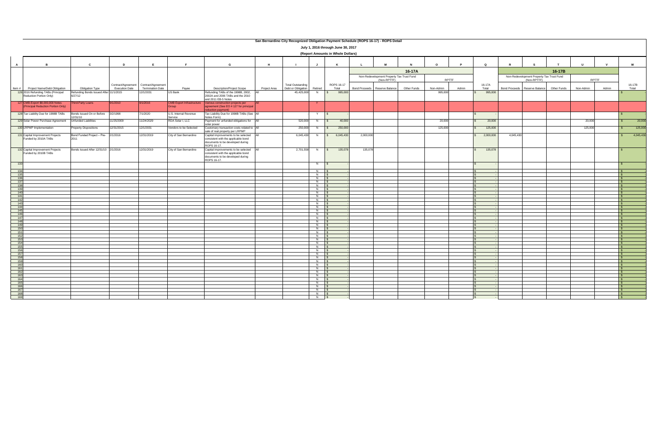|              | San Bernardino City Recognized Obligation Payment Schedule (ROPS 16-17) - ROPS Detail |                                                   |                       |                         |                                                  |                                                                                             |              |                          |                                  |                                    |                      |                                                          |             |           |       |             |                      |                                                          |              |              |       |                              |           |
|--------------|---------------------------------------------------------------------------------------|---------------------------------------------------|-----------------------|-------------------------|--------------------------------------------------|---------------------------------------------------------------------------------------------|--------------|--------------------------|----------------------------------|------------------------------------|----------------------|----------------------------------------------------------|-------------|-----------|-------|-------------|----------------------|----------------------------------------------------------|--------------|--------------|-------|------------------------------|-----------|
|              |                                                                                       |                                                   |                       |                         |                                                  |                                                                                             |              |                          |                                  | July 1, 2016 through June 30, 2017 |                      |                                                          |             |           |       |             |                      |                                                          |              |              |       |                              |           |
|              | (Report Amounts in Whole Dollars)                                                     |                                                   |                       |                         |                                                  |                                                                                             |              |                          |                                  |                                    |                      |                                                          |             |           |       |             |                      |                                                          |              |              |       |                              |           |
|              |                                                                                       |                                                   |                       |                         |                                                  |                                                                                             |              |                          |                                  |                                    |                      |                                                          |             |           |       |             |                      |                                                          |              |              |       |                              |           |
| $\mathbf{A}$ | $\overline{B}$                                                                        | $\mathbf{c}$                                      | D                     | E                       | E                                                | G                                                                                           | H            | - 1                      | $\mathbf{J}$                     | K                                  | $\mathbf{L}$         | M                                                        |             | $\Omega$  |       | $\mathbf Q$ |                      |                                                          | $\mathbf{r}$ | $\mathbf{u}$ |       | W                            |           |
|              |                                                                                       |                                                   |                       |                         |                                                  |                                                                                             |              |                          |                                  |                                    |                      |                                                          |             |           |       |             |                      |                                                          |              |              |       |                              |           |
|              |                                                                                       |                                                   |                       |                         |                                                  |                                                                                             |              |                          |                                  |                                    |                      |                                                          | 16-17A      |           |       |             |                      |                                                          | 16-17B       |              |       |                              |           |
|              |                                                                                       |                                                   |                       |                         |                                                  |                                                                                             |              |                          |                                  |                                    |                      | Non-Redevelopment Property Tax Trust Fund<br>(Non-RPTTF) |             | RPTTF     |       |             |                      | Non-Redevelopment Property Tax Trust Fund<br>(Non-RPTTF) |              |              | RPTTF |                              |           |
|              |                                                                                       |                                                   | Contract/Agreement    | Contract/Agreement      |                                                  |                                                                                             |              | <b>Total Outstanding</b> |                                  | ROPS 16-17                         |                      |                                                          |             |           |       | 16-17A      |                      |                                                          |              |              |       | 16-17B                       |           |
| Item $#$     | Project Name/Debt Obligation                                                          | Obligation Type                                   | <b>Execution Date</b> | <b>Termination Date</b> | Payee                                            | <b>Description/Project Scope</b>                                                            | Project Area | Debt or Obligation       | Retired                          | Total                              | <b>Bond Proceeds</b> | Reserve Balance                                          | Other Funds | Non-Admin | Admin | Total       | <b>Bond Proceeds</b> | Reserve Balance                                          | Other Funds  | Non-Admin    | Admin | Total                        |           |
|              | 126 2016 Refunding TABs (Principal<br>Reduction Portion Only)                         | Refunding Bonds Issued After 11/1/2015<br>6/27/12 |                       | 12/1/2031               | US Bank                                          | Refunding TABs of the 1998B, 2002,<br>2002A and 2006 TABs and the 2010                      |              | 45,425,000               | N                                | 995,000                            |                      |                                                          |             | 995,000   |       | 995,000     |                      |                                                          |              |              |       |                              |           |
|              |                                                                                       |                                                   |                       |                         |                                                  | and 2011 EB-5 Notes                                                                         |              |                          |                                  |                                    |                      |                                                          |             |           |       |             |                      |                                                          |              |              |       |                              |           |
|              | 127 CMB-Export \$8,000,000 Notes<br>(Principal Reduction Portion Only)                | hird-Party Loans                                  | 9/1/2010              | 9/1/2016                | <b>CMB Export Infrastructure</b><br><b>Sroup</b> | Various construction projects per<br>agreement (See EO # 127 for principal                  |              |                          | Y                                |                                    |                      |                                                          |             |           |       |             |                      |                                                          |              |              |       |                              |           |
|              |                                                                                       |                                                   |                       |                         |                                                  | eduction payment)                                                                           |              |                          |                                  |                                    |                      |                                                          |             |           |       |             |                      |                                                          |              |              |       |                              |           |
|              | 128 Tax Liability Due for 1998B TABs                                                  | Bonds Issued On or Before<br>12/31/10             | 3/2/1998              | 7/1/2020                | U.S. Internal Revenue<br>Service                 | Tax Liability Due for 1998B TABs (See All<br>Notes Form)                                    |              |                          | Y                                |                                    |                      |                                                          |             |           |       |             |                      |                                                          |              |              |       |                              |           |
|              | 129 Solar Power Purchase Agreement                                                    | <b>Unfunded Liabilities</b>                       | 11/25/2009            | 11/24/2029              | RDA Solar I, LLC                                 | Payment for unfunded obligations for All                                                    |              | 520,000                  | N                                | 40,000<br>$\mathcal{S}$            |                      |                                                          |             | 20,000    |       | 20,000      |                      |                                                          |              | 20,000       |       |                              | 20,000    |
|              | 130 LRPMP Implementation                                                              | <b>Property Dispositions</b>                      | 12/31/2015            | 12/1/2031               | Vendors to be Selected                           | olar power<br>Customary transaction costs related to All<br>sale of real property per LRPMP |              | 250,000                  | N                                | $\mathsf{s}$<br>250,000            |                      |                                                          |             | 125,000   |       | 125,000     |                      |                                                          |              | 125,000      |       |                              | 125,000   |
|              | 131 Capital Improvement Projects                                                      | Bond Funded Project - Pre- 2/1/2016               |                       | 12/31/2019              | City of San Bernardino                           | Capital improvements to be selected                                                         |              | 6,045,430                | N                                | 6,045,430                          | 2,000,000            |                                                          |             |           |       | 2,000,000   | 4,045,430            |                                                          |              |              |       |                              | 4,045,430 |
|              | Funded by 2010A TABs                                                                  | 2011                                              |                       |                         |                                                  | consistent with the applicable bond<br>documents to be developed during                     |              |                          |                                  |                                    |                      |                                                          |             |           |       |             |                      |                                                          |              |              |       |                              |           |
|              |                                                                                       |                                                   |                       |                         |                                                  | ROPS 16-17.                                                                                 |              |                          |                                  |                                    |                      |                                                          |             |           |       |             |                      |                                                          |              |              |       |                              |           |
|              | 132 Capital Improvement Projects<br>Funded by 2010B TABs                              | Bonds Issued After 12/31/10 2/1/2016              |                       | 12/31/2019              | City of San Bernardino                           | Capital improvements to be selected<br><b>AII</b>                                           |              | 2,701,558                | N \$                             | 135,078                            | 135,078              |                                                          |             |           |       | 135,078     |                      |                                                          |              |              |       |                              |           |
|              |                                                                                       |                                                   |                       |                         |                                                  | consistent with the applicable bond<br>documents to be developed during                     |              |                          |                                  |                                    |                      |                                                          |             |           |       |             |                      |                                                          |              |              |       |                              |           |
|              |                                                                                       |                                                   |                       |                         |                                                  | ROPS 16-17.                                                                                 |              |                          |                                  |                                    |                      |                                                          |             |           |       |             |                      |                                                          |              |              |       |                              |           |
| 133          |                                                                                       |                                                   |                       |                         |                                                  |                                                                                             |              |                          | N                                |                                    |                      |                                                          |             |           |       |             |                      |                                                          |              |              |       |                              |           |
| 134          |                                                                                       |                                                   |                       |                         |                                                  |                                                                                             |              |                          | $\overline{N}$                   |                                    |                      |                                                          |             |           |       |             |                      |                                                          |              |              |       | IS.                          |           |
| 135<br>136   |                                                                                       |                                                   |                       |                         |                                                  |                                                                                             |              |                          | $N$ $S$<br>$N$ $S$               |                                    |                      |                                                          |             |           |       |             |                      |                                                          |              |              |       | $\mathbb{R}$<br>$\mathbb{R}$ |           |
| 137          |                                                                                       |                                                   |                       |                         |                                                  |                                                                                             |              |                          | $N$ \$                           |                                    |                      |                                                          |             |           |       |             |                      |                                                          |              |              |       | $\sqrt{s}$                   |           |
| 138<br>139   |                                                                                       |                                                   |                       |                         |                                                  |                                                                                             |              |                          | $\overline{N}$<br>$\overline{N}$ |                                    |                      |                                                          |             |           |       |             |                      |                                                          |              |              |       | l \$                         |           |
| 140          |                                                                                       |                                                   |                       |                         |                                                  |                                                                                             |              |                          | N                                |                                    |                      |                                                          |             |           |       |             |                      |                                                          |              |              |       | IS.                          |           |
| 141          |                                                                                       |                                                   |                       |                         |                                                  |                                                                                             |              |                          | N                                |                                    |                      |                                                          |             |           |       |             |                      |                                                          |              |              |       | IS.                          |           |
| 142<br>143   |                                                                                       |                                                   |                       |                         |                                                  |                                                                                             |              |                          | $N$ \$<br>N \$                   |                                    |                      |                                                          |             |           |       |             |                      |                                                          |              |              |       | $\sqrt{S}$                   |           |
| 144          |                                                                                       |                                                   |                       |                         |                                                  |                                                                                             |              |                          | $N$ $S$                          |                                    |                      |                                                          |             |           |       |             |                      |                                                          |              |              |       | $\mathsf{S}$                 |           |
| 145<br>146   |                                                                                       |                                                   |                       |                         |                                                  |                                                                                             |              |                          | N<br>N                           |                                    |                      |                                                          |             |           |       |             |                      |                                                          |              |              |       | l ¢                          |           |
| 147          |                                                                                       |                                                   |                       |                         |                                                  |                                                                                             |              |                          | $N$ $\sqrt{s}$                   |                                    |                      |                                                          |             |           |       |             |                      |                                                          |              |              |       | $\mathsf{S}$                 |           |
| 148<br>149   |                                                                                       |                                                   |                       |                         |                                                  |                                                                                             |              |                          | $N$ \$<br>$N$ \$                 |                                    |                      |                                                          |             |           |       |             |                      |                                                          |              |              |       | $\sqrt{s}$<br>$\mathbb{R}$   |           |
| 150          |                                                                                       |                                                   |                       |                         |                                                  |                                                                                             |              |                          | $N$ $S$                          |                                    |                      |                                                          |             |           |       |             |                      |                                                          |              |              |       | $\mathbb{R}$                 |           |
| 151<br>152   |                                                                                       |                                                   |                       |                         |                                                  |                                                                                             |              |                          | $N$ $S$<br>N                     |                                    |                      |                                                          |             |           |       |             |                      |                                                          |              |              |       | l s                          |           |
| 153          |                                                                                       |                                                   |                       |                         |                                                  |                                                                                             |              |                          | $\overline{z}$                   |                                    |                      |                                                          |             |           |       |             |                      |                                                          |              |              |       | ∣ \$                         |           |
| 154<br>155   |                                                                                       |                                                   |                       |                         |                                                  |                                                                                             |              |                          | $\overline{N}$<br>N              |                                    |                      |                                                          |             |           |       |             |                      |                                                          |              |              |       | <b>1.</b> S                  |           |
| 156          |                                                                                       |                                                   |                       |                         |                                                  |                                                                                             |              |                          | $N$ $\blacksquare$               |                                    |                      |                                                          |             |           |       |             |                      |                                                          |              |              |       |                              |           |
| 157          |                                                                                       |                                                   |                       |                         |                                                  |                                                                                             |              |                          | $N$ $\blacksquare$               |                                    |                      |                                                          |             |           |       |             |                      |                                                          |              |              |       | $\mathbb{R}$                 |           |
| 158<br>159   |                                                                                       |                                                   |                       |                         |                                                  |                                                                                             |              |                          | $N$ $\sqrt{S}$<br>$N$ $S$        |                                    |                      |                                                          |             |           |       |             |                      |                                                          |              |              |       | l s                          |           |
| 160          |                                                                                       |                                                   |                       |                         |                                                  |                                                                                             |              |                          | $N$ $s$                          |                                    |                      |                                                          |             |           |       |             |                      |                                                          |              |              |       | l St                         |           |
| 161<br>162   |                                                                                       |                                                   |                       |                         |                                                  |                                                                                             |              |                          | $N$ $S$<br>$N$ \$                |                                    |                      |                                                          |             |           |       |             |                      |                                                          |              |              |       | $\mathbf{s}$<br>$\sqrt{s}$   |           |
| 163          |                                                                                       |                                                   |                       |                         |                                                  |                                                                                             |              |                          | $N$ $S$                          |                                    |                      |                                                          |             |           |       |             |                      |                                                          |              |              |       | $\mathbb{R}$                 |           |
| 164<br>165   |                                                                                       |                                                   |                       |                         |                                                  |                                                                                             |              |                          | $N$ $\sqrt{s}$                   |                                    |                      |                                                          |             |           |       |             |                      |                                                          |              |              |       | l St                         |           |
| 166          |                                                                                       |                                                   |                       |                         |                                                  |                                                                                             |              |                          | N<br>$\overline{N}$              |                                    |                      |                                                          |             |           |       |             |                      |                                                          |              |              |       |                              |           |
| 167          |                                                                                       |                                                   |                       |                         |                                                  |                                                                                             |              |                          | $\overline{N}$                   |                                    |                      |                                                          |             |           |       |             |                      |                                                          |              |              |       | ∣\$                          |           |
| 168<br>169   |                                                                                       |                                                   |                       |                         |                                                  |                                                                                             |              |                          | $N$  <br>N   \$                  |                                    |                      |                                                          |             |           |       |             |                      |                                                          |              |              |       | $\mathsf{S}$                 |           |
|              |                                                                                       |                                                   |                       |                         |                                                  |                                                                                             |              |                          |                                  |                                    |                      |                                                          |             |           |       |             |                      |                                                          |              |              |       |                              |           |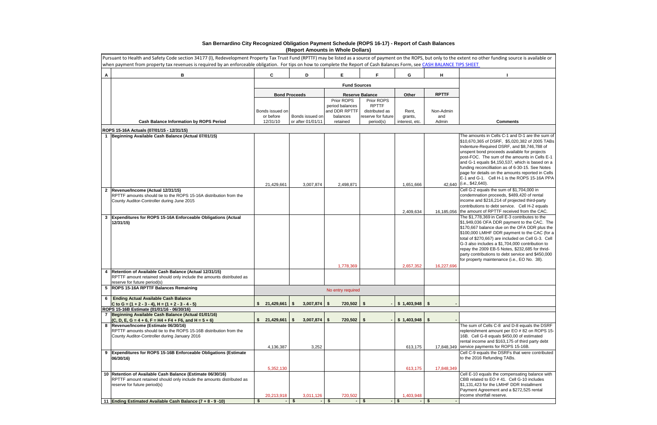|              | Pursuant to Health and Safety Code section 34177 (I), Redevelopment Property Tax Trust Fund (RPTTF) may be listed as a source of payment on the ROPS, but only to the extent no other funding source is available or<br>when payment from property tax revenues is required by an enforceable obligation. For tips on how to complete the Report of Cash Balances Form, see CASH BALANCE TIPS SHEET |    |                       |      |                                      |                                                |                                              |                           |      |              |                                                                                                                                                                                                                                                                                                                                                                                                                                                                 |
|--------------|-----------------------------------------------------------------------------------------------------------------------------------------------------------------------------------------------------------------------------------------------------------------------------------------------------------------------------------------------------------------------------------------------------|----|-----------------------|------|--------------------------------------|------------------------------------------------|----------------------------------------------|---------------------------|------|--------------|-----------------------------------------------------------------------------------------------------------------------------------------------------------------------------------------------------------------------------------------------------------------------------------------------------------------------------------------------------------------------------------------------------------------------------------------------------------------|
| A            | B                                                                                                                                                                                                                                                                                                                                                                                                   |    | $\mathbf{c}$          |      | D                                    | E.                                             | Е                                            | G                         |      | н            |                                                                                                                                                                                                                                                                                                                                                                                                                                                                 |
|              |                                                                                                                                                                                                                                                                                                                                                                                                     |    |                       |      |                                      | <b>Fund Sources</b>                            |                                              |                           |      |              |                                                                                                                                                                                                                                                                                                                                                                                                                                                                 |
|              |                                                                                                                                                                                                                                                                                                                                                                                                     |    | <b>Bond Proceeds</b>  |      |                                      |                                                | <b>Reserve Balance</b>                       | Other                     |      | <b>RPTTF</b> |                                                                                                                                                                                                                                                                                                                                                                                                                                                                 |
|              |                                                                                                                                                                                                                                                                                                                                                                                                     |    | Bonds issued on       |      |                                      | Prior ROPS<br>period balances<br>and DDR RPTTF | Prior ROPS<br><b>RPTTF</b><br>distributed as | Rent,                     |      | Non-Admin    |                                                                                                                                                                                                                                                                                                                                                                                                                                                                 |
|              | <b>Cash Balance Information by ROPS Period</b>                                                                                                                                                                                                                                                                                                                                                      |    | or before<br>12/31/10 |      | Bonds issued on<br>or after 01/01/11 | balances<br>retained                           | reserve for future<br>period(s)              | grants,<br>interest, etc. |      | and<br>Admin | <b>Comments</b>                                                                                                                                                                                                                                                                                                                                                                                                                                                 |
|              | ROPS 15-16A Actuals (07/01/15 - 12/31/15)                                                                                                                                                                                                                                                                                                                                                           |    |                       |      |                                      |                                                |                                              |                           |      |              |                                                                                                                                                                                                                                                                                                                                                                                                                                                                 |
|              | 1 Beginning Available Cash Balance (Actual 07/01/15)                                                                                                                                                                                                                                                                                                                                                |    |                       |      |                                      |                                                |                                              |                           |      |              | The amounts in Cells C-1 and D-1 are the sum o<br>\$10,670,365 of DSRF, \$5,020,382 of 2005 TAB<br>Indenture-Required DSRF, and \$8,746,788 of<br>unspent bond proceeds available for projects                                                                                                                                                                                                                                                                  |
|              |                                                                                                                                                                                                                                                                                                                                                                                                     |    | 21.429.661            |      | 3,007,874                            | 2,498,871                                      |                                              | 1,651,666                 |      |              | post-FOC. The sum of the amounts in Cells E-1<br>and G-1 equals \$4,150,537, which is based on a<br>funding reconcilliation as of 6-30-15. See Notes<br>page for details on the amounts reported in Cells<br>E-1 and G-1. Cell H-1 is the ROPS 15-16A PPA<br>42,640 (i.e., \$42,640).                                                                                                                                                                           |
|              | 2 Revenue/Income (Actual 12/31/15)<br>RPTTF amounts should tie to the ROPS 15-16A distribution from the<br>County Auditor-Controller during June 2015                                                                                                                                                                                                                                               |    |                       |      |                                      |                                                |                                              | 2,409,634                 |      |              | Cell G-2 equals the sum of \$1,704,000 in<br>condemnation proceeds, \$489,420 of rental<br>income and \$216,214 of projected third-party<br>contributions to debt service. Cell H-2 equals<br>16,185,056 the amount of RPTTF received from the CAC.                                                                                                                                                                                                             |
| $\mathbf{3}$ | Expenditures for ROPS 15-16A Enforceable Obligations (Actual<br>12/31/15                                                                                                                                                                                                                                                                                                                            |    |                       |      |                                      | 1,778,369                                      |                                              | 2,657,352                 |      | 16,227,696   | The \$1,778,369 in Cell E-3 contributes to the<br>\$1,949,036 OFA DDR payment to the CAC. The<br>\$170,667 balance due on the OFA DDR plus the<br>\$100,000 LMIHF DDR payment to the CAC (for a<br>total of \$270,667) are included on Cell G-3. Cell<br>G-3 also includes a \$1,704,000 contribution to<br>repay the 2009 EB-5 Notes, \$232,685 for thrid-<br>party contributions to debt service and \$450,000<br>for property maintenance (i.e., EO No. 38). |
| 4            | Retention of Available Cash Balance (Actual 12/31/15)<br>RPTTF amount retained should only include the amounts distributed as<br>reserve for future period(s)                                                                                                                                                                                                                                       |    |                       |      |                                      |                                                |                                              |                           |      |              |                                                                                                                                                                                                                                                                                                                                                                                                                                                                 |
| 5            | <b>ROPS 15-16A RPTTF Balances Remaining</b>                                                                                                                                                                                                                                                                                                                                                         |    |                       |      |                                      | No entry required                              |                                              |                           |      |              |                                                                                                                                                                                                                                                                                                                                                                                                                                                                 |
| 6            | <b>Ending Actual Available Cash Balance</b><br>C to G = $(1 + 2 - 3 - 4)$ , H = $(1 + 2 - 3 - 4 - 5)$                                                                                                                                                                                                                                                                                               |    | 21,429,661            | - \$ | 3,007,874                            | 720,502<br>- \$                                | \$                                           | \$1,403,948               | - \$ |              |                                                                                                                                                                                                                                                                                                                                                                                                                                                                 |
|              | ROPS 15-16B Estimate (01/01/16 - 06/30/16)                                                                                                                                                                                                                                                                                                                                                          |    |                       |      |                                      |                                                |                                              |                           |      |              |                                                                                                                                                                                                                                                                                                                                                                                                                                                                 |
|              | Beginning Available Cash Balance (Actual 01/01/16)                                                                                                                                                                                                                                                                                                                                                  | s. | 21,429,661            | S.   | 3,007,874                            | 720,502<br>- \$                                | \$                                           | \$1,403,948               | - \$ |              |                                                                                                                                                                                                                                                                                                                                                                                                                                                                 |
| 8            | $(C, D, E, G = 4 + 6, F = H4 + F4 + F6, and H = 5 + 6)$<br>Revenue/Income (Estimate 06/30/16)<br>RPTTF amounts should tie to the ROPS 15-16B distribution from the<br>County Auditor-Controller during January 2016                                                                                                                                                                                 |    | 4,136,387             |      | 3,252                                |                                                |                                              | 613,175                   |      |              | The sum of Cells C-8 and D-8 equals the DSRF<br>replenishment amount per EO # 82 on ROPS 15<br>16B. Cell G-8 equals \$450,00 of estimated<br>rental income and \$163,175 of third party debt<br>17,848,349 service payments for ROPS 15-16B.                                                                                                                                                                                                                    |
| 9            | <b>Expenditures for ROPS 15-16B Enforceable Obligations (Estimate</b><br>06/30/16)                                                                                                                                                                                                                                                                                                                  |    |                       |      |                                      |                                                |                                              |                           |      |              | Cell C-9 equals the DSRFs that were contributed<br>to the 2016 Refunding TABs.                                                                                                                                                                                                                                                                                                                                                                                  |
|              | 10 Retention of Available Cash Balance (Estimate 06/30/16)<br>RPTTF amount retained should only include the amounts distributed as<br>reserve for future period(s)                                                                                                                                                                                                                                  |    | 5,352,130             |      |                                      |                                                |                                              | 613,175                   |      | 17,848,349   | Cell E-10 equals the compensating balance with<br>CBB related to EO # 41. Cell G-10 includes<br>\$1,131,423 for the LMIHF DDR Installment<br>Payment Agreement and a \$272,525 rental                                                                                                                                                                                                                                                                           |
|              |                                                                                                                                                                                                                                                                                                                                                                                                     |    | 20,213,918            |      | 3,011,126                            | 720,502                                        |                                              | 1,403,948                 |      |              | income shortfall reserve.                                                                                                                                                                                                                                                                                                                                                                                                                                       |
|              | 11 Ending Estimated Available Cash Balance (7 + 8 - 9 -10)                                                                                                                                                                                                                                                                                                                                          | \$ |                       | - \$ |                                      | \$                                             | \$                                           | -\$                       | - \$ |              |                                                                                                                                                                                                                                                                                                                                                                                                                                                                 |

| xtent no other funding source is available or                                                         |
|-------------------------------------------------------------------------------------------------------|
| <b>PS SHEET</b>                                                                                       |
| ı                                                                                                     |
|                                                                                                       |
|                                                                                                       |
|                                                                                                       |
|                                                                                                       |
|                                                                                                       |
|                                                                                                       |
| Comments                                                                                              |
|                                                                                                       |
| The amounts in Cells C-1 and D-1 are the sum of<br>\$10,670,365 of DSRF, \$5,020,382 of 2005 TABs     |
| Indenture-Required DSRF, and \$8,746,788 of                                                           |
| unspent bond proceeds available for projects                                                          |
| post-FOC. The sum of the amounts in Cells E-1                                                         |
| and G-1 equals \$4,150,537, which is based on a<br>funding reconcilliation as of 6-30-15. See Notes   |
| page for details on the amounts reported in Cells                                                     |
| E-1 and G-1. Cell H-1 is the ROPS 15-16A PPA                                                          |
| (i.e., \$42,640).                                                                                     |
| Cell G-2 equals the sum of \$1,704,000 in<br>condemnation proceeds, \$489,420 of rental               |
| income and \$216,214 of projected third-party                                                         |
| contributions to debt service. Cell H-2 equals                                                        |
| the amount of RPTTF received from the CAC.                                                            |
| The \$1,778,369 in Cell E-3 contributes to the<br>\$1,949,036 OFA DDR payment to the CAC. The         |
| \$170,667 balance due on the OFA DDR plus the                                                         |
| \$100,000 LMIHF DDR payment to the CAC (for a                                                         |
| total of \$270,667) are included on Cell G-3. Cell<br>G-3 also includes a \$1,704,000 contribution to |
| repay the 2009 EB-5 Notes, \$232,685 for thrid-                                                       |
| party contributions to debt service and \$450,000                                                     |
| for property maintenance (i.e., EO No. 38).                                                           |
|                                                                                                       |
|                                                                                                       |
|                                                                                                       |
|                                                                                                       |
|                                                                                                       |
|                                                                                                       |
|                                                                                                       |
| The sum of Cells C-8 and D-8 equals the DSRF                                                          |
| replenishment amount per EO # 82 on ROPS 15-                                                          |
| 16B. Cell G-8 equals \$450,00 of estimated                                                            |
| rental income and \$163,175 of third party debt                                                       |
| service payments for ROPS 15-16B.<br>Cell C-9 equals the DSRFs that were contributed                  |
| to the 2016 Refunding TABs.                                                                           |
|                                                                                                       |
| Cell E-10 equals the compensating balance with                                                        |
| CBB related to EO # 41. Cell G-10 includes                                                            |
| \$1,131,423 for the LMIHF DDR Installment                                                             |
| Payment Agreement and a \$272,525 rental                                                              |
| income shortfall reserve.                                                                             |
|                                                                                                       |

## **San Bernardino City Recognized Obligation Payment Schedule (ROPS 16-17) - Report of Cash Balances (Report Amounts in Whole Dollars)**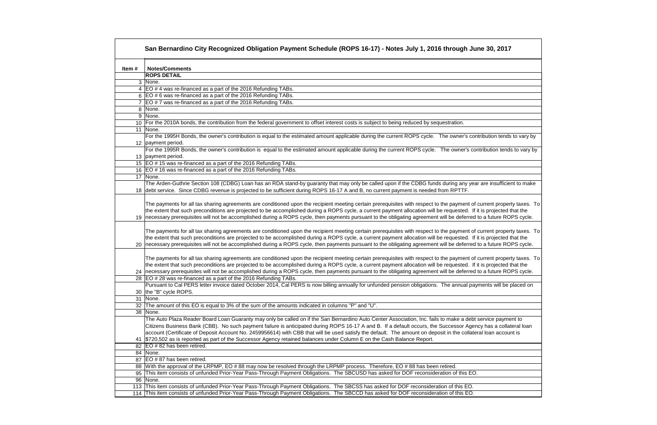| <b>Notes/Comments</b><br>Item#<br><b>ROPS DETAIL</b><br>3 None.<br>4   EO # 4 was re-financed as a part of the 2016 Refunding TABs.<br>6 EO # 6 was re-financed as a part of the 2016 Refunding TABs.<br>7 $ EO # 7$ was re-financed as a part of the 2016 Refunding TABs.<br>8 None.<br>9 None.<br>10 For the 2010A bonds, the contribution from the federal government to offset interest costs is subject to being reduced by sequestration.<br>11 None.<br>12   payment period.<br>13 payment period.<br>15 EO # 15 was re-financed as a part of the 2016 Refunding TABs.<br>16   EO # 16 was re-financed as a part of the 2016 Refunding TABs.<br>17 None.<br>18 debt service. Since CDBG revenue is projected to be sufficient during ROPS 16-17 A and B, no current payment is needed from RPTTF.<br>the extent that such preconditions are projected to be accomplished during a ROPS cycle, a current payment allocation will be requested. If it is projected that the<br>19  necessary prerequisites will not be accomplished during a ROPS cycle, then payments pursuant to the obligating agreement will be deferred to a future ROPS cycle.<br>the extent that such preconditions are projected to be accomplished during a ROPS cycle, a current payment allocation will be requested. If it is projected that the<br>20  necessary prerequisites will not be accomplished during a ROPS cycle, then payments pursuant to the obligating agreement will be deferred to a future ROPS cycle.<br>the extent that such preconditions are projected to be accomplished during a ROPS cycle, a current payment allocation will be requested. If it is projected that the<br>24 necessary prerequisites will not be accomplished during a ROPS cycle, then payments pursuant to the obligating agreement will be deferred to a future ROPS cycle.<br>28   EO # 28 was re-financed as a part of the 2016 Refunding TABs.<br>Pursuant to Cal PERS letter invoice dated October 2014, Cal PERS is now billing annually for unfunded pension obligations. The annual payments will be placed on<br>30 the "B" cycle ROPS.<br>31 None.<br>32 The amount of this EO is equal to 3% of the sum of the amounts indicated in columns "P" and "U".<br>38   None.<br>The Auto Plaza Reader Board Loan Guaranty may only be called on if the San Bernardino Auto Center Association, Inc. fails to make a debt service payment to<br>Citizens Business Bank (CBB). No such payment failure is anticipated during ROPS 16-17 A and B. If a default occurs, the Successor Agency has a collateral loan<br>account (Certificate of Deposit Account No. 2459956614) with CBB that will be used satisfy the default. The amount on deposit in the collateral loan account is<br>41   \$720,502 as is reported as part of the Successor Agency retained balances under Column E on the Cash Balance Report.<br>82   EO # 82 has been retired.<br>84   None.<br>87   EO # 87 has been retired.<br>88 With the approval of the LRPMP, EO #88 may now be resolved through the LRPMP process. Therefore, EO #88 has been retired.<br>This item consists of unfunded Prior-Year Pass-Through Payment Obligations. The SBCUSD has asked for DOF reconsideration of this EO.<br>95<br>96   None.<br>113 This item consists of unfunded Prior-Year Pass-Through Payment Obligations. The SBCSS has asked for DOF reconsideration of this EO.<br>114 This item consists of unfunded Prior-Year Pass-Through Payment Obligations. The SBCCD has asked for DOF reconsideration of this EO. | San Bernardino City Recognized Obligation Payment Schedule (ROPS 16-17) - Notes July 1, 2016 through June 30, 2017                                                     |
|------------------------------------------------------------------------------------------------------------------------------------------------------------------------------------------------------------------------------------------------------------------------------------------------------------------------------------------------------------------------------------------------------------------------------------------------------------------------------------------------------------------------------------------------------------------------------------------------------------------------------------------------------------------------------------------------------------------------------------------------------------------------------------------------------------------------------------------------------------------------------------------------------------------------------------------------------------------------------------------------------------------------------------------------------------------------------------------------------------------------------------------------------------------------------------------------------------------------------------------------------------------------------------------------------------------------------------------------------------------------------------------------------------------------------------------------------------------------------------------------------------------------------------------------------------------------------------------------------------------------------------------------------------------------------------------------------------------------------------------------------------------------------------------------------------------------------------------------------------------------------------------------------------------------------------------------------------------------------------------------------------------------------------------------------------------------------------------------------------------------------------------------------------------------------------------------------------------------------------------------------------------------------------------------------------------------------------------------------------------------------------------------------------------------------------------------------------------------------------------------------------------------------------------------------------------------------------------------------------------------------------------------------------------------------------------------------------------------------------------------------------------------------------------------------------------------------------------------------------------------------------------------------------------------------------------------------------------------------------------------------------------------------------------------------------------------------------------------------------------------------------------------------------------------------------------------------------------------------------------------------------------------------------------------------------------------------------------------------------------------------------------------------------------------------------------------------------------------------------------------------------------------------------------------------------------------|------------------------------------------------------------------------------------------------------------------------------------------------------------------------|
|                                                                                                                                                                                                                                                                                                                                                                                                                                                                                                                                                                                                                                                                                                                                                                                                                                                                                                                                                                                                                                                                                                                                                                                                                                                                                                                                                                                                                                                                                                                                                                                                                                                                                                                                                                                                                                                                                                                                                                                                                                                                                                                                                                                                                                                                                                                                                                                                                                                                                                                                                                                                                                                                                                                                                                                                                                                                                                                                                                                                                                                                                                                                                                                                                                                                                                                                                                                                                                                                                                                                                                        |                                                                                                                                                                        |
|                                                                                                                                                                                                                                                                                                                                                                                                                                                                                                                                                                                                                                                                                                                                                                                                                                                                                                                                                                                                                                                                                                                                                                                                                                                                                                                                                                                                                                                                                                                                                                                                                                                                                                                                                                                                                                                                                                                                                                                                                                                                                                                                                                                                                                                                                                                                                                                                                                                                                                                                                                                                                                                                                                                                                                                                                                                                                                                                                                                                                                                                                                                                                                                                                                                                                                                                                                                                                                                                                                                                                                        |                                                                                                                                                                        |
|                                                                                                                                                                                                                                                                                                                                                                                                                                                                                                                                                                                                                                                                                                                                                                                                                                                                                                                                                                                                                                                                                                                                                                                                                                                                                                                                                                                                                                                                                                                                                                                                                                                                                                                                                                                                                                                                                                                                                                                                                                                                                                                                                                                                                                                                                                                                                                                                                                                                                                                                                                                                                                                                                                                                                                                                                                                                                                                                                                                                                                                                                                                                                                                                                                                                                                                                                                                                                                                                                                                                                                        |                                                                                                                                                                        |
|                                                                                                                                                                                                                                                                                                                                                                                                                                                                                                                                                                                                                                                                                                                                                                                                                                                                                                                                                                                                                                                                                                                                                                                                                                                                                                                                                                                                                                                                                                                                                                                                                                                                                                                                                                                                                                                                                                                                                                                                                                                                                                                                                                                                                                                                                                                                                                                                                                                                                                                                                                                                                                                                                                                                                                                                                                                                                                                                                                                                                                                                                                                                                                                                                                                                                                                                                                                                                                                                                                                                                                        |                                                                                                                                                                        |
|                                                                                                                                                                                                                                                                                                                                                                                                                                                                                                                                                                                                                                                                                                                                                                                                                                                                                                                                                                                                                                                                                                                                                                                                                                                                                                                                                                                                                                                                                                                                                                                                                                                                                                                                                                                                                                                                                                                                                                                                                                                                                                                                                                                                                                                                                                                                                                                                                                                                                                                                                                                                                                                                                                                                                                                                                                                                                                                                                                                                                                                                                                                                                                                                                                                                                                                                                                                                                                                                                                                                                                        |                                                                                                                                                                        |
|                                                                                                                                                                                                                                                                                                                                                                                                                                                                                                                                                                                                                                                                                                                                                                                                                                                                                                                                                                                                                                                                                                                                                                                                                                                                                                                                                                                                                                                                                                                                                                                                                                                                                                                                                                                                                                                                                                                                                                                                                                                                                                                                                                                                                                                                                                                                                                                                                                                                                                                                                                                                                                                                                                                                                                                                                                                                                                                                                                                                                                                                                                                                                                                                                                                                                                                                                                                                                                                                                                                                                                        |                                                                                                                                                                        |
|                                                                                                                                                                                                                                                                                                                                                                                                                                                                                                                                                                                                                                                                                                                                                                                                                                                                                                                                                                                                                                                                                                                                                                                                                                                                                                                                                                                                                                                                                                                                                                                                                                                                                                                                                                                                                                                                                                                                                                                                                                                                                                                                                                                                                                                                                                                                                                                                                                                                                                                                                                                                                                                                                                                                                                                                                                                                                                                                                                                                                                                                                                                                                                                                                                                                                                                                                                                                                                                                                                                                                                        |                                                                                                                                                                        |
|                                                                                                                                                                                                                                                                                                                                                                                                                                                                                                                                                                                                                                                                                                                                                                                                                                                                                                                                                                                                                                                                                                                                                                                                                                                                                                                                                                                                                                                                                                                                                                                                                                                                                                                                                                                                                                                                                                                                                                                                                                                                                                                                                                                                                                                                                                                                                                                                                                                                                                                                                                                                                                                                                                                                                                                                                                                                                                                                                                                                                                                                                                                                                                                                                                                                                                                                                                                                                                                                                                                                                                        |                                                                                                                                                                        |
|                                                                                                                                                                                                                                                                                                                                                                                                                                                                                                                                                                                                                                                                                                                                                                                                                                                                                                                                                                                                                                                                                                                                                                                                                                                                                                                                                                                                                                                                                                                                                                                                                                                                                                                                                                                                                                                                                                                                                                                                                                                                                                                                                                                                                                                                                                                                                                                                                                                                                                                                                                                                                                                                                                                                                                                                                                                                                                                                                                                                                                                                                                                                                                                                                                                                                                                                                                                                                                                                                                                                                                        |                                                                                                                                                                        |
|                                                                                                                                                                                                                                                                                                                                                                                                                                                                                                                                                                                                                                                                                                                                                                                                                                                                                                                                                                                                                                                                                                                                                                                                                                                                                                                                                                                                                                                                                                                                                                                                                                                                                                                                                                                                                                                                                                                                                                                                                                                                                                                                                                                                                                                                                                                                                                                                                                                                                                                                                                                                                                                                                                                                                                                                                                                                                                                                                                                                                                                                                                                                                                                                                                                                                                                                                                                                                                                                                                                                                                        |                                                                                                                                                                        |
|                                                                                                                                                                                                                                                                                                                                                                                                                                                                                                                                                                                                                                                                                                                                                                                                                                                                                                                                                                                                                                                                                                                                                                                                                                                                                                                                                                                                                                                                                                                                                                                                                                                                                                                                                                                                                                                                                                                                                                                                                                                                                                                                                                                                                                                                                                                                                                                                                                                                                                                                                                                                                                                                                                                                                                                                                                                                                                                                                                                                                                                                                                                                                                                                                                                                                                                                                                                                                                                                                                                                                                        | For the 1995H Bonds, the owner's contribution is equal to the estimated amount applicable during the current ROPS cycle. The owner's contribution tends to vary by     |
|                                                                                                                                                                                                                                                                                                                                                                                                                                                                                                                                                                                                                                                                                                                                                                                                                                                                                                                                                                                                                                                                                                                                                                                                                                                                                                                                                                                                                                                                                                                                                                                                                                                                                                                                                                                                                                                                                                                                                                                                                                                                                                                                                                                                                                                                                                                                                                                                                                                                                                                                                                                                                                                                                                                                                                                                                                                                                                                                                                                                                                                                                                                                                                                                                                                                                                                                                                                                                                                                                                                                                                        |                                                                                                                                                                        |
|                                                                                                                                                                                                                                                                                                                                                                                                                                                                                                                                                                                                                                                                                                                                                                                                                                                                                                                                                                                                                                                                                                                                                                                                                                                                                                                                                                                                                                                                                                                                                                                                                                                                                                                                                                                                                                                                                                                                                                                                                                                                                                                                                                                                                                                                                                                                                                                                                                                                                                                                                                                                                                                                                                                                                                                                                                                                                                                                                                                                                                                                                                                                                                                                                                                                                                                                                                                                                                                                                                                                                                        | For the 1995R Bonds, the owner's contribution is equal to the estimated amount applicable during the current ROPS cycle. The owner's contribution tends to vary by     |
|                                                                                                                                                                                                                                                                                                                                                                                                                                                                                                                                                                                                                                                                                                                                                                                                                                                                                                                                                                                                                                                                                                                                                                                                                                                                                                                                                                                                                                                                                                                                                                                                                                                                                                                                                                                                                                                                                                                                                                                                                                                                                                                                                                                                                                                                                                                                                                                                                                                                                                                                                                                                                                                                                                                                                                                                                                                                                                                                                                                                                                                                                                                                                                                                                                                                                                                                                                                                                                                                                                                                                                        |                                                                                                                                                                        |
|                                                                                                                                                                                                                                                                                                                                                                                                                                                                                                                                                                                                                                                                                                                                                                                                                                                                                                                                                                                                                                                                                                                                                                                                                                                                                                                                                                                                                                                                                                                                                                                                                                                                                                                                                                                                                                                                                                                                                                                                                                                                                                                                                                                                                                                                                                                                                                                                                                                                                                                                                                                                                                                                                                                                                                                                                                                                                                                                                                                                                                                                                                                                                                                                                                                                                                                                                                                                                                                                                                                                                                        |                                                                                                                                                                        |
|                                                                                                                                                                                                                                                                                                                                                                                                                                                                                                                                                                                                                                                                                                                                                                                                                                                                                                                                                                                                                                                                                                                                                                                                                                                                                                                                                                                                                                                                                                                                                                                                                                                                                                                                                                                                                                                                                                                                                                                                                                                                                                                                                                                                                                                                                                                                                                                                                                                                                                                                                                                                                                                                                                                                                                                                                                                                                                                                                                                                                                                                                                                                                                                                                                                                                                                                                                                                                                                                                                                                                                        |                                                                                                                                                                        |
|                                                                                                                                                                                                                                                                                                                                                                                                                                                                                                                                                                                                                                                                                                                                                                                                                                                                                                                                                                                                                                                                                                                                                                                                                                                                                                                                                                                                                                                                                                                                                                                                                                                                                                                                                                                                                                                                                                                                                                                                                                                                                                                                                                                                                                                                                                                                                                                                                                                                                                                                                                                                                                                                                                                                                                                                                                                                                                                                                                                                                                                                                                                                                                                                                                                                                                                                                                                                                                                                                                                                                                        |                                                                                                                                                                        |
|                                                                                                                                                                                                                                                                                                                                                                                                                                                                                                                                                                                                                                                                                                                                                                                                                                                                                                                                                                                                                                                                                                                                                                                                                                                                                                                                                                                                                                                                                                                                                                                                                                                                                                                                                                                                                                                                                                                                                                                                                                                                                                                                                                                                                                                                                                                                                                                                                                                                                                                                                                                                                                                                                                                                                                                                                                                                                                                                                                                                                                                                                                                                                                                                                                                                                                                                                                                                                                                                                                                                                                        | The Arden-Guthrie Section 108 (CDBG) Loan has an RDA stand-by guaranty that may only be called upon if the CDBG funds during any year are insufficient to make         |
|                                                                                                                                                                                                                                                                                                                                                                                                                                                                                                                                                                                                                                                                                                                                                                                                                                                                                                                                                                                                                                                                                                                                                                                                                                                                                                                                                                                                                                                                                                                                                                                                                                                                                                                                                                                                                                                                                                                                                                                                                                                                                                                                                                                                                                                                                                                                                                                                                                                                                                                                                                                                                                                                                                                                                                                                                                                                                                                                                                                                                                                                                                                                                                                                                                                                                                                                                                                                                                                                                                                                                                        |                                                                                                                                                                        |
|                                                                                                                                                                                                                                                                                                                                                                                                                                                                                                                                                                                                                                                                                                                                                                                                                                                                                                                                                                                                                                                                                                                                                                                                                                                                                                                                                                                                                                                                                                                                                                                                                                                                                                                                                                                                                                                                                                                                                                                                                                                                                                                                                                                                                                                                                                                                                                                                                                                                                                                                                                                                                                                                                                                                                                                                                                                                                                                                                                                                                                                                                                                                                                                                                                                                                                                                                                                                                                                                                                                                                                        | The payments for all tax sharing agreements are conditioned upon the recipient meeting certain prerequisites with respect to the payment of current property taxes. To |
|                                                                                                                                                                                                                                                                                                                                                                                                                                                                                                                                                                                                                                                                                                                                                                                                                                                                                                                                                                                                                                                                                                                                                                                                                                                                                                                                                                                                                                                                                                                                                                                                                                                                                                                                                                                                                                                                                                                                                                                                                                                                                                                                                                                                                                                                                                                                                                                                                                                                                                                                                                                                                                                                                                                                                                                                                                                                                                                                                                                                                                                                                                                                                                                                                                                                                                                                                                                                                                                                                                                                                                        | The payments for all tax sharing agreements are conditioned upon the recipient meeting certain prerequisites with respect to the payment of current property taxes. To |
|                                                                                                                                                                                                                                                                                                                                                                                                                                                                                                                                                                                                                                                                                                                                                                                                                                                                                                                                                                                                                                                                                                                                                                                                                                                                                                                                                                                                                                                                                                                                                                                                                                                                                                                                                                                                                                                                                                                                                                                                                                                                                                                                                                                                                                                                                                                                                                                                                                                                                                                                                                                                                                                                                                                                                                                                                                                                                                                                                                                                                                                                                                                                                                                                                                                                                                                                                                                                                                                                                                                                                                        | The payments for all tax sharing agreements are conditioned upon the recipient meeting certain prerequisites with respect to the payment of current property taxes. To |
|                                                                                                                                                                                                                                                                                                                                                                                                                                                                                                                                                                                                                                                                                                                                                                                                                                                                                                                                                                                                                                                                                                                                                                                                                                                                                                                                                                                                                                                                                                                                                                                                                                                                                                                                                                                                                                                                                                                                                                                                                                                                                                                                                                                                                                                                                                                                                                                                                                                                                                                                                                                                                                                                                                                                                                                                                                                                                                                                                                                                                                                                                                                                                                                                                                                                                                                                                                                                                                                                                                                                                                        |                                                                                                                                                                        |
|                                                                                                                                                                                                                                                                                                                                                                                                                                                                                                                                                                                                                                                                                                                                                                                                                                                                                                                                                                                                                                                                                                                                                                                                                                                                                                                                                                                                                                                                                                                                                                                                                                                                                                                                                                                                                                                                                                                                                                                                                                                                                                                                                                                                                                                                                                                                                                                                                                                                                                                                                                                                                                                                                                                                                                                                                                                                                                                                                                                                                                                                                                                                                                                                                                                                                                                                                                                                                                                                                                                                                                        |                                                                                                                                                                        |
|                                                                                                                                                                                                                                                                                                                                                                                                                                                                                                                                                                                                                                                                                                                                                                                                                                                                                                                                                                                                                                                                                                                                                                                                                                                                                                                                                                                                                                                                                                                                                                                                                                                                                                                                                                                                                                                                                                                                                                                                                                                                                                                                                                                                                                                                                                                                                                                                                                                                                                                                                                                                                                                                                                                                                                                                                                                                                                                                                                                                                                                                                                                                                                                                                                                                                                                                                                                                                                                                                                                                                                        |                                                                                                                                                                        |
|                                                                                                                                                                                                                                                                                                                                                                                                                                                                                                                                                                                                                                                                                                                                                                                                                                                                                                                                                                                                                                                                                                                                                                                                                                                                                                                                                                                                                                                                                                                                                                                                                                                                                                                                                                                                                                                                                                                                                                                                                                                                                                                                                                                                                                                                                                                                                                                                                                                                                                                                                                                                                                                                                                                                                                                                                                                                                                                                                                                                                                                                                                                                                                                                                                                                                                                                                                                                                                                                                                                                                                        |                                                                                                                                                                        |
|                                                                                                                                                                                                                                                                                                                                                                                                                                                                                                                                                                                                                                                                                                                                                                                                                                                                                                                                                                                                                                                                                                                                                                                                                                                                                                                                                                                                                                                                                                                                                                                                                                                                                                                                                                                                                                                                                                                                                                                                                                                                                                                                                                                                                                                                                                                                                                                                                                                                                                                                                                                                                                                                                                                                                                                                                                                                                                                                                                                                                                                                                                                                                                                                                                                                                                                                                                                                                                                                                                                                                                        |                                                                                                                                                                        |
|                                                                                                                                                                                                                                                                                                                                                                                                                                                                                                                                                                                                                                                                                                                                                                                                                                                                                                                                                                                                                                                                                                                                                                                                                                                                                                                                                                                                                                                                                                                                                                                                                                                                                                                                                                                                                                                                                                                                                                                                                                                                                                                                                                                                                                                                                                                                                                                                                                                                                                                                                                                                                                                                                                                                                                                                                                                                                                                                                                                                                                                                                                                                                                                                                                                                                                                                                                                                                                                                                                                                                                        |                                                                                                                                                                        |
|                                                                                                                                                                                                                                                                                                                                                                                                                                                                                                                                                                                                                                                                                                                                                                                                                                                                                                                                                                                                                                                                                                                                                                                                                                                                                                                                                                                                                                                                                                                                                                                                                                                                                                                                                                                                                                                                                                                                                                                                                                                                                                                                                                                                                                                                                                                                                                                                                                                                                                                                                                                                                                                                                                                                                                                                                                                                                                                                                                                                                                                                                                                                                                                                                                                                                                                                                                                                                                                                                                                                                                        |                                                                                                                                                                        |
|                                                                                                                                                                                                                                                                                                                                                                                                                                                                                                                                                                                                                                                                                                                                                                                                                                                                                                                                                                                                                                                                                                                                                                                                                                                                                                                                                                                                                                                                                                                                                                                                                                                                                                                                                                                                                                                                                                                                                                                                                                                                                                                                                                                                                                                                                                                                                                                                                                                                                                                                                                                                                                                                                                                                                                                                                                                                                                                                                                                                                                                                                                                                                                                                                                                                                                                                                                                                                                                                                                                                                                        |                                                                                                                                                                        |
|                                                                                                                                                                                                                                                                                                                                                                                                                                                                                                                                                                                                                                                                                                                                                                                                                                                                                                                                                                                                                                                                                                                                                                                                                                                                                                                                                                                                                                                                                                                                                                                                                                                                                                                                                                                                                                                                                                                                                                                                                                                                                                                                                                                                                                                                                                                                                                                                                                                                                                                                                                                                                                                                                                                                                                                                                                                                                                                                                                                                                                                                                                                                                                                                                                                                                                                                                                                                                                                                                                                                                                        |                                                                                                                                                                        |
|                                                                                                                                                                                                                                                                                                                                                                                                                                                                                                                                                                                                                                                                                                                                                                                                                                                                                                                                                                                                                                                                                                                                                                                                                                                                                                                                                                                                                                                                                                                                                                                                                                                                                                                                                                                                                                                                                                                                                                                                                                                                                                                                                                                                                                                                                                                                                                                                                                                                                                                                                                                                                                                                                                                                                                                                                                                                                                                                                                                                                                                                                                                                                                                                                                                                                                                                                                                                                                                                                                                                                                        |                                                                                                                                                                        |
|                                                                                                                                                                                                                                                                                                                                                                                                                                                                                                                                                                                                                                                                                                                                                                                                                                                                                                                                                                                                                                                                                                                                                                                                                                                                                                                                                                                                                                                                                                                                                                                                                                                                                                                                                                                                                                                                                                                                                                                                                                                                                                                                                                                                                                                                                                                                                                                                                                                                                                                                                                                                                                                                                                                                                                                                                                                                                                                                                                                                                                                                                                                                                                                                                                                                                                                                                                                                                                                                                                                                                                        |                                                                                                                                                                        |
|                                                                                                                                                                                                                                                                                                                                                                                                                                                                                                                                                                                                                                                                                                                                                                                                                                                                                                                                                                                                                                                                                                                                                                                                                                                                                                                                                                                                                                                                                                                                                                                                                                                                                                                                                                                                                                                                                                                                                                                                                                                                                                                                                                                                                                                                                                                                                                                                                                                                                                                                                                                                                                                                                                                                                                                                                                                                                                                                                                                                                                                                                                                                                                                                                                                                                                                                                                                                                                                                                                                                                                        |                                                                                                                                                                        |
|                                                                                                                                                                                                                                                                                                                                                                                                                                                                                                                                                                                                                                                                                                                                                                                                                                                                                                                                                                                                                                                                                                                                                                                                                                                                                                                                                                                                                                                                                                                                                                                                                                                                                                                                                                                                                                                                                                                                                                                                                                                                                                                                                                                                                                                                                                                                                                                                                                                                                                                                                                                                                                                                                                                                                                                                                                                                                                                                                                                                                                                                                                                                                                                                                                                                                                                                                                                                                                                                                                                                                                        |                                                                                                                                                                        |

| ៖ 30, 2017                                                                  |
|-----------------------------------------------------------------------------|
|                                                                             |
|                                                                             |
|                                                                             |
|                                                                             |
| bution tends to vary by                                                     |
| ibution tends to vary by                                                    |
|                                                                             |
| are insufficient to make                                                    |
| To<br>rrent property taxes.<br>s projected that the<br>a future ROPS cycle. |
| To<br>rrent property taxes.<br>s projected that the<br>a future ROPS cycle. |
| To<br>rrent property taxes.<br>s projected that the<br>a future ROPS cycle. |
| ents will be placed on                                                      |
|                                                                             |
| rvice payment to<br>has a collateral loan<br>loan account is                |
|                                                                             |
|                                                                             |
|                                                                             |
|                                                                             |